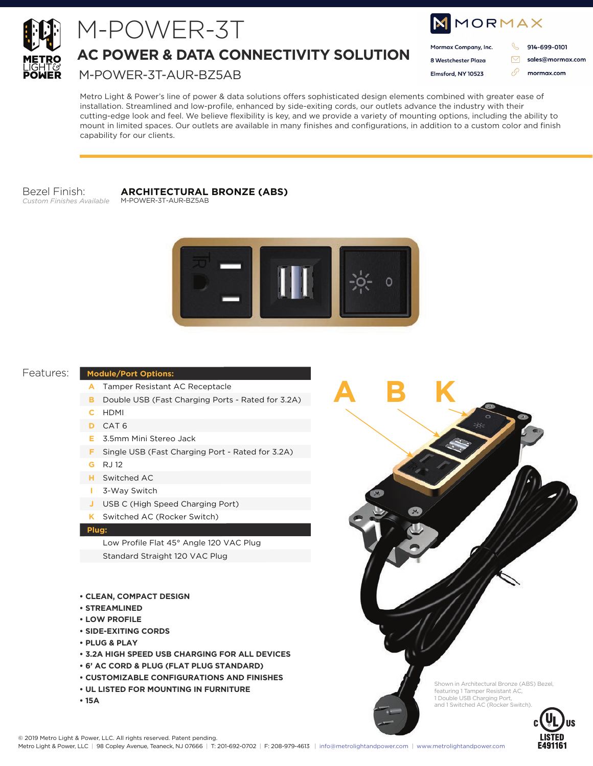

# M-POWER-3T

## **AC POWER & DATA CONNECTIVITY SOLUTION**

### M-POWER-3T-AUR-BZ5AB

| <b>NMORMAX</b>       |  |                  |
|----------------------|--|------------------|
| Mormax Company, Inc. |  | 914-699-0101     |
| 8 Westchester Plaza  |  | sales@mormax.com |
| Elmsford, NY 10523   |  | mormax.com       |
|                      |  |                  |

Metro Light & Power's line of power & data solutions offers sophisticated design elements combined with greater ease of installation. Streamlined and low-profile, enhanced by side-exiting cords, our outlets advance the industry with their cutting-edge look and feel. We believe flexibility is key, and we provide a variety of mounting options, including the ability to mount in limited spaces. Our outlets are available in many finishes and configurations, in addition to a custom color and finish capability for our clients.

#### Bezel Finish: Custom Finishes Available

### **ARCHITECTURAL BRONZE (ABS)**

M-POWER-3T-AUR-BZ5AB



#### Features:

#### **Module/Port Options:**

- A Tamper Resistant AC Receptacle
- **B** Double USB (Fast Charging Ports Rated for 3.2A)
- C HDMI
- D CAT6
- E 3.5mm Mini Stereo Jack
- F Single USB (Fast Charging Port Rated for 3.2A)
- **G** RJ12
- H Switched AC
	- 3-Way Switch
- J USB C (High Speed Charging Port)
- K Switched AC (Rocker Switch)

#### Plug:

Low Profile Flat 45° Angle 120 VAC Plug Standard Straight 120 VAC Plug

- **CLEAN, COMPACT DESIGN**
- · STREAMLINED
- **LOW PROFILE**
- **. SIDE-EXITING CORDS**
- PLUG & PLAY
- **. 3.2A HIGH SPEED USB CHARGING FOR ALL DEVICES**
- 6' AC CORD & PLUG (FLAT PLUG STANDARD)
- **CUSTOMIZABLE CONFIGURATIONS AND FINISHES**
- UL LISTED FOR MOUNTING IN FURNITURE
- $\cdot$  15A

Shown in Architectural Bronze (ABS) Bezel, featuring 1 Tamper Resistant AC,<br>1 Double USB Charging Port, and 1 Switched AC (Rocker Switch).